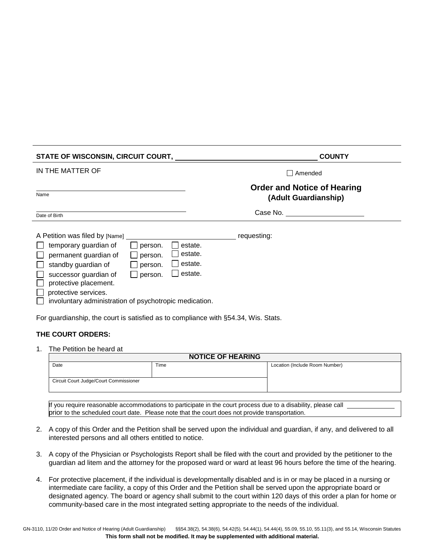| <b>STATE OF WISCONSIN, CIRCUIT COURT,</b>                                                                                                                                                                                                                                                                                           | <b>COUNTY</b>                                              |
|-------------------------------------------------------------------------------------------------------------------------------------------------------------------------------------------------------------------------------------------------------------------------------------------------------------------------------------|------------------------------------------------------------|
| IN THE MATTER OF                                                                                                                                                                                                                                                                                                                    | Amended                                                    |
| Name                                                                                                                                                                                                                                                                                                                                | <b>Order and Notice of Hearing</b><br>(Adult Guardianship) |
| Date of Birth                                                                                                                                                                                                                                                                                                                       | Case No.                                                   |
| A Petition was filed by [Name]<br>temporary guardian of<br>estate.<br>person.<br>estate.<br>permanent guardian of<br>person.<br>estate.<br>standby guardian of<br>person.<br>estate.<br>successor guardian of<br>person.<br>protective placement.<br>protective services.<br>involuntary administration of psychotropic medication. | requesting:                                                |

For guardianship, the court is satisfied as to compliance with §54.34, Wis. Stats.

## **THE COURT ORDERS:**

1. The Petition be heard at

| <b>NOTICE OF HEARING</b>               |      |                                |
|----------------------------------------|------|--------------------------------|
| Date                                   | Time | Location (Include Room Number) |
|                                        |      |                                |
| Circuit Court Judge/Court Commissioner |      |                                |
|                                        |      |                                |

If you require reasonable accommodations to participate in the court process due to a disability, please call prior to the scheduled court date. Please note that the court does not provide transportation.

- 2. A copy of this Order and the Petition shall be served upon the individual and guardian, if any, and delivered to all interested persons and all others entitled to notice.
- 3. A copy of the Physician or Psychologists Report shall be filed with the court and provided by the petitioner to the guardian ad litem and the attorney for the proposed ward or ward at least 96 hours before the time of the hearing.
- 4. For protective placement, if the individual is developmentally disabled and is in or may be placed in a nursing or intermediate care facility, a copy of this Order and the Petition shall be served upon the appropriate board or designated agency. The board or agency shall submit to the court within 120 days of this order a plan for home or community-based care in the most integrated setting appropriate to the needs of the individual.